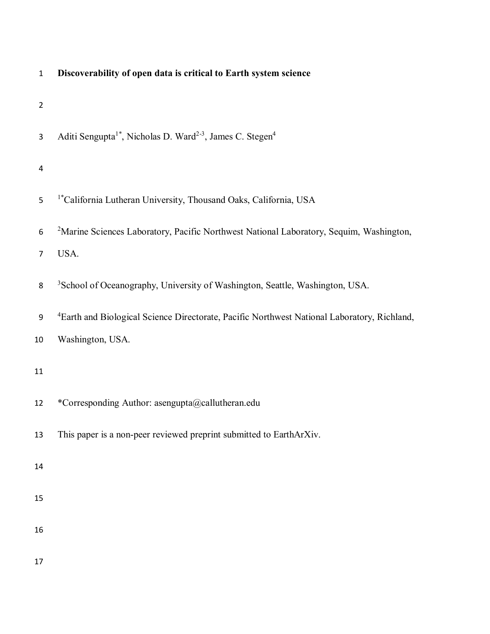| $\mathbf{1}$   | Discoverability of open data is critical to Earth system science                                        |
|----------------|---------------------------------------------------------------------------------------------------------|
| $\overline{2}$ |                                                                                                         |
| 3              | Aditi Sengupta <sup>1*</sup> , Nicholas D. Ward <sup>2-3</sup> , James C. Stegen <sup>4</sup>           |
| 4              |                                                                                                         |
| 5              | <sup>1</sup> *California Lutheran University, Thousand Oaks, California, USA                            |
| 6              | <sup>2</sup> Marine Sciences Laboratory, Pacific Northwest National Laboratory, Sequim, Washington,     |
| 7              | USA.                                                                                                    |
| 8              | <sup>3</sup> School of Oceanography, University of Washington, Seattle, Washington, USA.                |
| 9              | <sup>4</sup> Earth and Biological Science Directorate, Pacific Northwest National Laboratory, Richland, |
| 10             | Washington, USA.                                                                                        |
| 11             |                                                                                                         |
| 12             | *Corresponding Author: asengupta@callutheran.edu                                                        |
| 13             | This paper is a non-peer reviewed preprint submitted to EarthArXiv.                                     |
| 14             |                                                                                                         |
| 15             |                                                                                                         |
| 16             |                                                                                                         |
| 17             |                                                                                                         |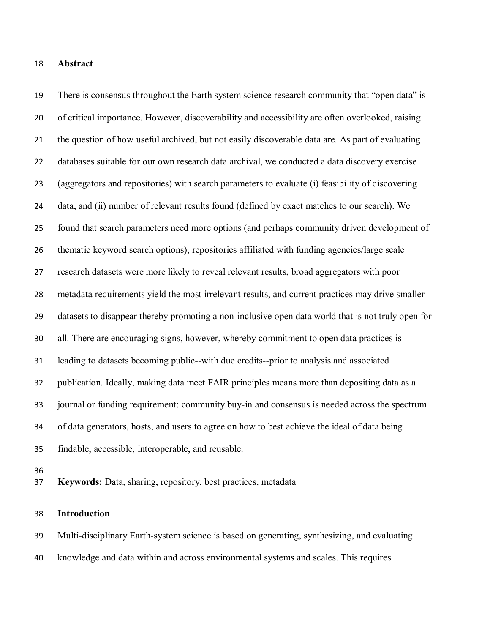## **Abstract**

 There is consensus throughout the Earth system science research community that "open data" is of critical importance. However, discoverability and accessibility are often overlooked, raising the question of how useful archived, but not easily discoverable data are. As part of evaluating databases suitable for our own research data archival, we conducted a data discovery exercise (aggregators and repositories) with search parameters to evaluate (i) feasibility of discovering data, and (ii) number of relevant results found (defined by exact matches to our search). We found that search parameters need more options (and perhaps community driven development of thematic keyword search options), repositories affiliated with funding agencies/large scale research datasets were more likely to reveal relevant results, broad aggregators with poor metadata requirements yield the most irrelevant results, and current practices may drive smaller datasets to disappear thereby promoting a non-inclusive open data world that is not truly open for all. There are encouraging signs, however, whereby commitment to open data practices is leading to datasets becoming public--with due credits--prior to analysis and associated publication. Ideally, making data meet FAIR principles means more than depositing data as a journal or funding requirement: community buy-in and consensus is needed across the spectrum of data generators, hosts, and users to agree on how to best achieve the ideal of data being findable, accessible, interoperable, and reusable.

**Keywords:** Data, sharing, repository, best practices, metadata

## **Introduction**

Multi-disciplinary Earth-system science is based on generating, synthesizing, and evaluating

knowledge and data within and across environmental systems and scales. This requires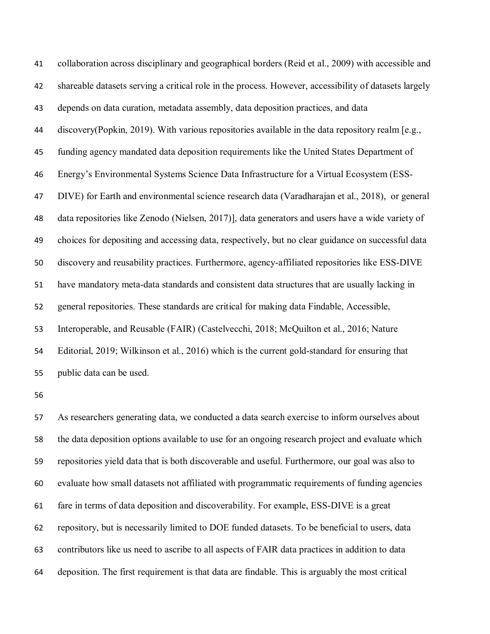collaboration across disciplinary and geographical borders (Reid et al., 2009) with accessible and shareable datasets serving a critical role in the process. However, accessibility of datasets largely depends on data curation, metadata assembly, data deposition practices, and data discovery(Popkin, 2019). With various repositories available in the data repository realm [e.g., funding agency mandated data deposition requirements like the United States Department of Energy's Environmental Systems Science Data Infrastructure for a Virtual Ecosystem (ESS- DIVE) for Earth and environmental science research data (Varadharajan et al., 2018), or general data repositories like Zenodo (Nielsen, 2017)], data generators and users have a wide variety of choices for depositing and accessing data, respectively, but no clear guidance on successful data discovery and reusability practices. Furthermore, agency-affiliated repositories like ESS-DIVE have mandatory meta-data standards and consistent data structures that are usually lacking in general repositories. These standards are critical for making data Findable, Accessible, Interoperable, and Reusable (FAIR) (Castelvecchi, 2018; McQuilton et al., 2016; Nature Editorial, 2019; Wilkinson et al., 2016) which is the current gold-standard for ensuring that public data can be used.

 As researchers generating data, we conducted a data search exercise to inform ourselves about the data deposition options available to use for an ongoing research project and evaluate which repositories yield data that is both discoverable and useful. Furthermore, our goal was also to evaluate how small datasets not affiliated with programmatic requirements of funding agencies fare in terms of data deposition and discoverability. For example, ESS-DIVE is a great repository, but is necessarily limited to DOE funded datasets. To be beneficial to users, data contributors like us need to ascribe to all aspects of FAIR data practices in addition to data deposition. The first requirement is that data are findable. This is arguably the most critical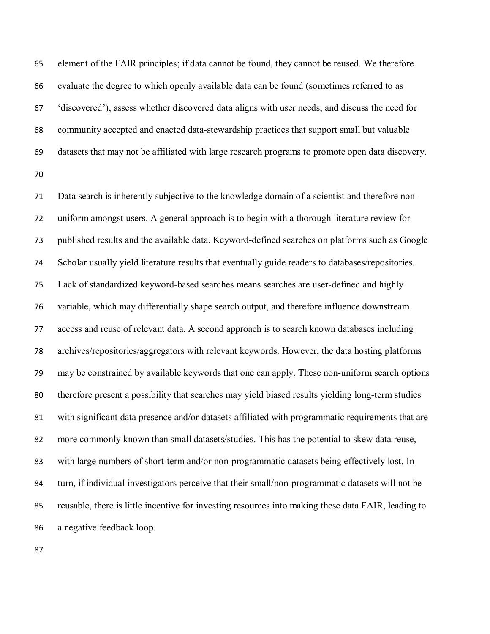element of the FAIR principles; if data cannot be found, they cannot be reused. We therefore evaluate the degree to which openly available data can be found (sometimes referred to as 'discovered'), assess whether discovered data aligns with user needs, and discuss the need for community accepted and enacted data-stewardship practices that support small but valuable datasets that may not be affiliated with large research programs to promote open data discovery. 

 Data search is inherently subjective to the knowledge domain of a scientist and therefore non- uniform amongst users. A general approach is to begin with a thorough literature review for published results and the available data. Keyword-defined searches on platforms such as Google Scholar usually yield literature results that eventually guide readers to databases/repositories. Lack of standardized keyword-based searches means searches are user-defined and highly variable, which may differentially shape search output, and therefore influence downstream access and reuse of relevant data. A second approach is to search known databases including archives/repositories/aggregators with relevant keywords. However, the data hosting platforms may be constrained by available keywords that one can apply. These non-uniform search options therefore present a possibility that searches may yield biased results yielding long-term studies with significant data presence and/or datasets affiliated with programmatic requirements that are more commonly known than small datasets/studies. This has the potential to skew data reuse, with large numbers of short-term and/or non-programmatic datasets being effectively lost. In turn, if individual investigators perceive that their small/non-programmatic datasets will not be reusable, there is little incentive for investing resources into making these data FAIR, leading to a negative feedback loop.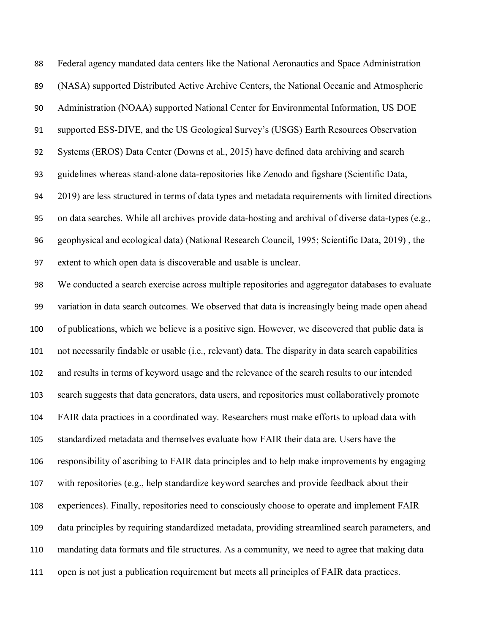| 88     | Federal agency mandated data centers like the National Aeronautics and Space Administration         |
|--------|-----------------------------------------------------------------------------------------------------|
| 89     | (NASA) supported Distributed Active Archive Centers, the National Oceanic and Atmospheric           |
| $90\,$ | Administration (NOAA) supported National Center for Environmental Information, US DOE               |
| 91     | supported ESS-DIVE, and the US Geological Survey's (USGS) Earth Resources Observation               |
| 92     | Systems (EROS) Data Center (Downs et al., 2015) have defined data archiving and search              |
| 93     | guidelines whereas stand-alone data-repositories like Zenodo and figshare (Scientific Data,         |
| 94     | 2019) are less structured in terms of data types and metadata requirements with limited directions  |
| 95     | on data searches. While all archives provide data-hosting and archival of diverse data-types (e.g., |
| 96     | geophysical and ecological data) (National Research Council, 1995; Scientific Data, 2019), the      |
| 97     | extent to which open data is discoverable and usable is unclear.                                    |
| 98     | We conducted a search exercise across multiple repositories and aggregator databases to evaluate    |
| 99     | variation in data search outcomes. We observed that data is increasingly being made open ahead      |
| 100    | of publications, which we believe is a positive sign. However, we discovered that public data is    |
| 101    | not necessarily findable or usable (i.e., relevant) data. The disparity in data search capabilities |
| 102    | and results in terms of keyword usage and the relevance of the search results to our intended       |
| 103    | search suggests that data generators, data users, and repositories must collaboratively promote     |
| 104    | FAIR data practices in a coordinated way. Researchers must make efforts to upload data with         |
| 105    | standardized metadata and themselves evaluate how FAIR their data are. Users have the               |
| 106    | responsibility of ascribing to FAIR data principles and to help make improvements by engaging       |
| 107    | with repositories (e.g., help standardize keyword searches and provide feedback about their         |
| 108    | experiences). Finally, repositories need to consciously choose to operate and implement FAIR        |
| 109    | data principles by requiring standardized metadata, providing streamlined search parameters, and    |
| 110    | mandating data formats and file structures. As a community, we need to agree that making data       |
| 111    | open is not just a publication requirement but meets all principles of FAIR data practices.         |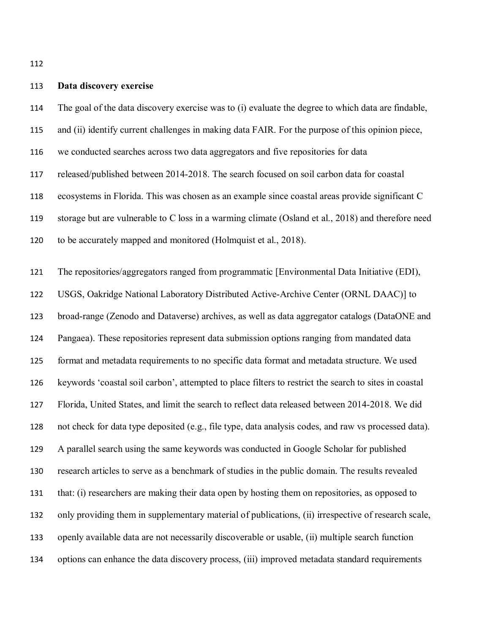### **Data discovery exercise**

The goal of the data discovery exercise was to (i) evaluate the degree to which data are findable,

and (ii) identify current challenges in making data FAIR. For the purpose of this opinion piece,

we conducted searches across two data aggregators and five repositories for data

released/published between 2014-2018. The search focused on soil carbon data for coastal

ecosystems in Florida. This was chosen as an example since coastal areas provide significant C

storage but are vulnerable to C loss in a warming climate (Osland et al., 2018) and therefore need

to be accurately mapped and monitored (Holmquist et al., 2018).

 The repositories/aggregators ranged from programmatic [Environmental Data Initiative (EDI), USGS, Oakridge National Laboratory Distributed Active-Archive Center (ORNL DAAC)] to broad-range (Zenodo and Dataverse) archives, as well as data aggregator catalogs (DataONE and Pangaea). These repositories represent data submission options ranging from mandated data format and metadata requirements to no specific data format and metadata structure. We used keywords 'coastal soil carbon', attempted to place filters to restrict the search to sites in coastal Florida, United States, and limit the search to reflect data released between 2014-2018. We did not check for data type deposited (e.g., file type, data analysis codes, and raw vs processed data). A parallel search using the same keywords was conducted in Google Scholar for published research articles to serve as a benchmark of studies in the public domain. The results revealed that: (i) researchers are making their data open by hosting them on repositories, as opposed to only providing them in supplementary material of publications, (ii) irrespective of research scale, openly available data are not necessarily discoverable or usable, (ii) multiple search function options can enhance the data discovery process, (iii) improved metadata standard requirements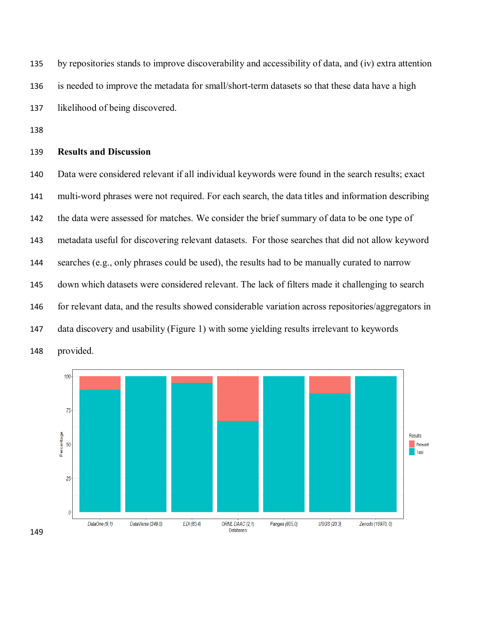by repositories stands to improve discoverability and accessibility of data, and (iv) extra attention is needed to improve the metadata for small/short-term datasets so that these data have a high likelihood of being discovered.

# **Results and Discussion**

 Data were considered relevant if all individual keywords were found in the search results; exact multi-word phrases were not required. For each search, the data titles and information describing the data were assessed for matches. We consider the brief summary of data to be one type of metadata useful for discovering relevant datasets. For those searches that did not allow keyword searches (e.g., only phrases could be used), the results had to be manually curated to narrow down which datasets were considered relevant. The lack of filters made it challenging to search for relevant data, and the results showed considerable variation across repositories/aggregators in data discovery and usability (Figure 1) with some yielding results irrelevant to keywords provided.

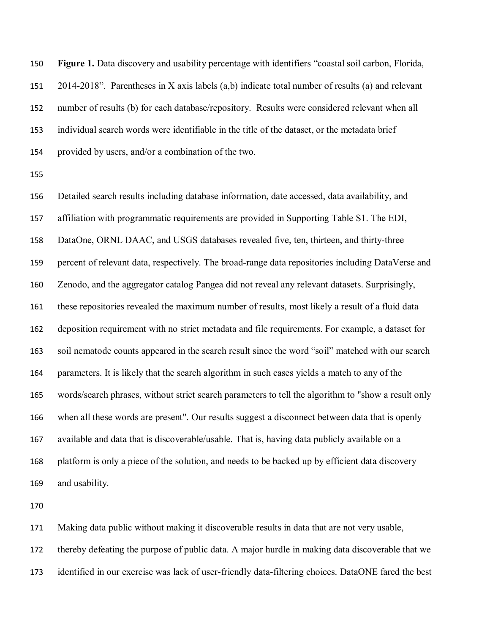**Figure 1.** Data discovery and usability percentage with identifiers "coastal soil carbon, Florida, 2014-2018". Parentheses in X axis labels (a,b) indicate total number of results (a) and relevant number of results (b) for each database/repository. Results were considered relevant when all individual search words were identifiable in the title of the dataset, or the metadata brief provided by users, and/or a combination of the two.

 Detailed search results including database information, date accessed, data availability, and affiliation with programmatic requirements are provided in Supporting Table S1. The EDI, DataOne, ORNL DAAC, and USGS databases revealed five, ten, thirteen, and thirty-three percent of relevant data, respectively. The broad-range data repositories including DataVerse and Zenodo, and the aggregator catalog Pangea did not reveal any relevant datasets. Surprisingly, these repositories revealed the maximum number of results, most likely a result of a fluid data deposition requirement with no strict metadata and file requirements. For example, a dataset for soil nematode counts appeared in the search result since the word "soil" matched with our search parameters. It is likely that the search algorithm in such cases yields a match to any of the words/search phrases, without strict search parameters to tell the algorithm to "show a result only when all these words are present". Our results suggest a disconnect between data that is openly available and data that is discoverable/usable. That is, having data publicly available on a platform is only a piece of the solution, and needs to be backed up by efficient data discovery and usability.

Making data public without making it discoverable results in data that are not very usable,

thereby defeating the purpose of public data. A major hurdle in making data discoverable that we

identified in our exercise was lack of user-friendly data-filtering choices. DataONE fared the best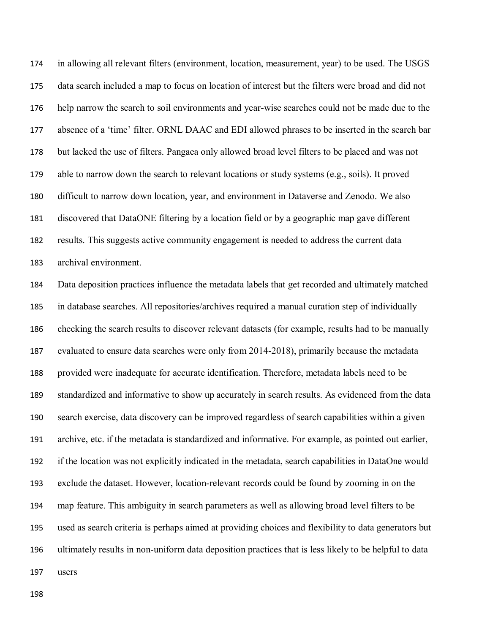in allowing all relevant filters (environment, location, measurement, year) to be used. The USGS data search included a map to focus on location of interest but the filters were broad and did not help narrow the search to soil environments and year-wise searches could not be made due to the absence of a 'time' filter. ORNL DAAC and EDI allowed phrases to be inserted in the search bar but lacked the use of filters. Pangaea only allowed broad level filters to be placed and was not able to narrow down the search to relevant locations or study systems (e.g., soils). It proved difficult to narrow down location, year, and environment in Dataverse and Zenodo. We also discovered that DataONE filtering by a location field or by a geographic map gave different results. This suggests active community engagement is needed to address the current data archival environment.

 Data deposition practices influence the metadata labels that get recorded and ultimately matched in database searches. All repositories/archives required a manual curation step of individually checking the search results to discover relevant datasets (for example, results had to be manually evaluated to ensure data searches were only from 2014-2018), primarily because the metadata provided were inadequate for accurate identification. Therefore, metadata labels need to be standardized and informative to show up accurately in search results. As evidenced from the data search exercise, data discovery can be improved regardless of search capabilities within a given archive, etc. if the metadata is standardized and informative. For example, as pointed out earlier, if the location was not explicitly indicated in the metadata, search capabilities in DataOne would exclude the dataset. However, location-relevant records could be found by zooming in on the map feature. This ambiguity in search parameters as well as allowing broad level filters to be used as search criteria is perhaps aimed at providing choices and flexibility to data generators but ultimately results in non-uniform data deposition practices that is less likely to be helpful to data users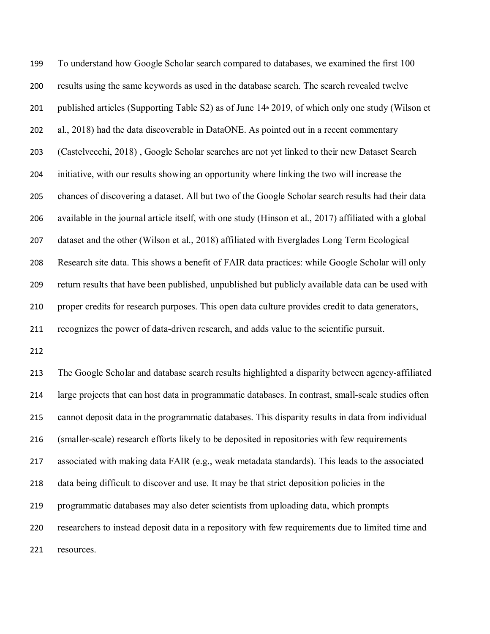To understand how Google Scholar search compared to databases, we examined the first 100 results using the same keywords as used in the database search. The search revealed twelve 201 published articles (Supporting Table S2) as of June  $14*2019$ , of which only one study (Wilson et al., 2018) had the data discoverable in DataONE. As pointed out in a recent commentary (Castelvecchi, 2018) , Google Scholar searches are not yet linked to their new Dataset Search initiative, with our results showing an opportunity where linking the two will increase the chances of discovering a dataset. All but two of the Google Scholar search results had their data available in the journal article itself, with one study (Hinson et al., 2017) affiliated with a global dataset and the other (Wilson et al., 2018) affiliated with Everglades Long Term Ecological Research site data. This shows a benefit of FAIR data practices: while Google Scholar will only return results that have been published, unpublished but publicly available data can be used with proper credits for research purposes. This open data culture provides credit to data generators, recognizes the power of data-driven research, and adds value to the scientific pursuit.

 The Google Scholar and database search results highlighted a disparity between agency-affiliated large projects that can host data in programmatic databases. In contrast, small-scale studies often cannot deposit data in the programmatic databases. This disparity results in data from individual (smaller-scale) research efforts likely to be deposited in repositories with few requirements associated with making data FAIR (e.g., weak metadata standards). This leads to the associated data being difficult to discover and use. It may be that strict deposition policies in the programmatic databases may also deter scientists from uploading data, which prompts researchers to instead deposit data in a repository with few requirements due to limited time and resources.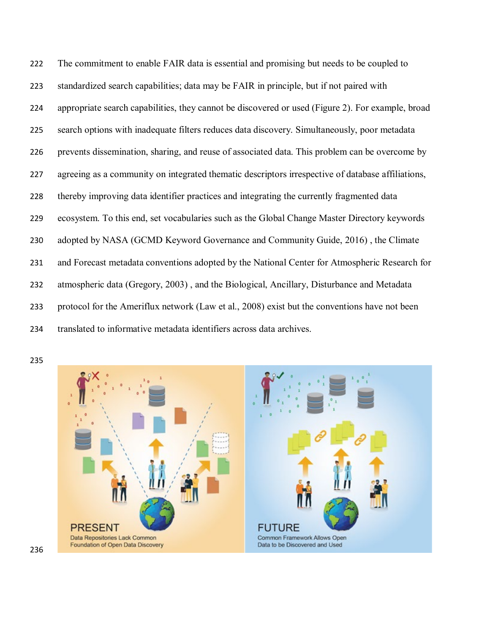The commitment to enable FAIR data is essential and promising but needs to be coupled to standardized search capabilities; data may be FAIR in principle, but if not paired with appropriate search capabilities, they cannot be discovered or used (Figure 2). For example, broad search options with inadequate filters reduces data discovery. Simultaneously, poor metadata prevents dissemination, sharing, and reuse of associated data. This problem can be overcome by agreeing as a community on integrated thematic descriptors irrespective of database affiliations, thereby improving data identifier practices and integrating the currently fragmented data ecosystem. To this end, set vocabularies such as the Global Change Master Directory keywords adopted by NASA (GCMD Keyword Governance and Community Guide, 2016) , the Climate and Forecast metadata conventions adopted by the National Center for Atmospheric Research for atmospheric data (Gregory, 2003) , and the Biological, Ancillary, Disturbance and Metadata protocol for the Ameriflux network (Law et al., 2008) exist but the conventions have not been translated to informative metadata identifiers across data archives.

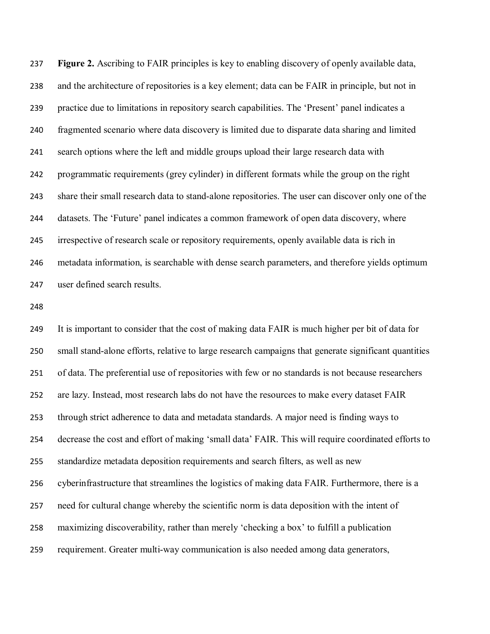**Figure 2.** Ascribing to FAIR principles is key to enabling discovery of openly available data, and the architecture of repositories is a key element; data can be FAIR in principle, but not in practice due to limitations in repository search capabilities. The 'Present' panel indicates a fragmented scenario where data discovery is limited due to disparate data sharing and limited search options where the left and middle groups upload their large research data with programmatic requirements (grey cylinder) in different formats while the group on the right share their small research data to stand-alone repositories. The user can discover only one of the datasets. The 'Future' panel indicates a common framework of open data discovery, where irrespective of research scale or repository requirements, openly available data is rich in metadata information, is searchable with dense search parameters, and therefore yields optimum user defined search results.

 It is important to consider that the cost of making data FAIR is much higher per bit of data for small stand-alone efforts, relative to large research campaigns that generate significant quantities of data. The preferential use of repositories with few or no standards is not because researchers are lazy. Instead, most research labs do not have the resources to make every dataset FAIR through strict adherence to data and metadata standards. A major need is finding ways to decrease the cost and effort of making 'small data' FAIR. This will require coordinated efforts to standardize metadata deposition requirements and search filters, as well as new cyberinfrastructure that streamlines the logistics of making data FAIR. Furthermore, there is a need for cultural change whereby the scientific norm is data deposition with the intent of maximizing discoverability, rather than merely 'checking a box' to fulfill a publication requirement. Greater multi-way communication is also needed among data generators,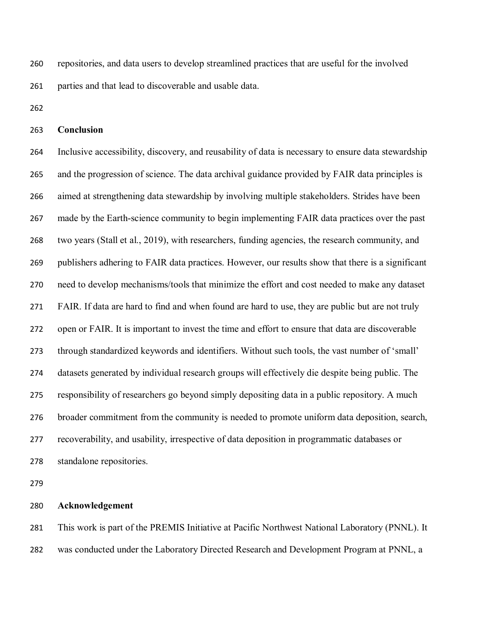repositories, and data users to develop streamlined practices that are useful for the involved parties and that lead to discoverable and usable data.

### **Conclusion**

 Inclusive accessibility, discovery, and reusability of data is necessary to ensure data stewardship and the progression of science. The data archival guidance provided by FAIR data principles is aimed at strengthening data stewardship by involving multiple stakeholders. Strides have been made by the Earth-science community to begin implementing FAIR data practices over the past two years (Stall et al., 2019), with researchers, funding agencies, the research community, and publishers adhering to FAIR data practices. However, our results show that there is a significant need to develop mechanisms/tools that minimize the effort and cost needed to make any dataset FAIR. If data are hard to find and when found are hard to use, they are public but are not truly open or FAIR. It is important to invest the time and effort to ensure that data are discoverable through standardized keywords and identifiers. Without such tools, the vast number of 'small' datasets generated by individual research groups will effectively die despite being public. The responsibility of researchers go beyond simply depositing data in a public repository. A much broader commitment from the community is needed to promote uniform data deposition, search, recoverability, and usability, irrespective of data deposition in programmatic databases or standalone repositories.

### **Acknowledgement**

 This work is part of the PREMIS Initiative at Pacific Northwest National Laboratory (PNNL). It was conducted under the Laboratory Directed Research and Development Program at PNNL, a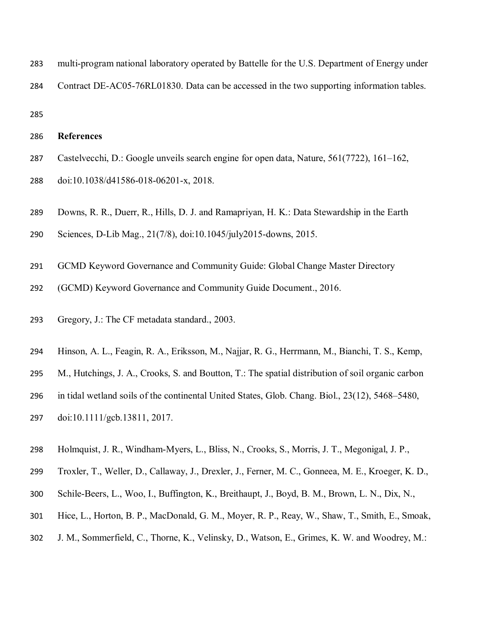- multi-program national laboratory operated by Battelle for the U.S. Department of Energy under
- Contract DE-AC05-76RL01830. Data can be accessed in the two supporting information tables.

## **References**

- Castelvecchi, D.: Google unveils search engine for open data, Nature, 561(7722), 161–162,
- doi:10.1038/d41586-018-06201-x, 2018.
- Downs, R. R., Duerr, R., Hills, D. J. and Ramapriyan, H. K.: Data Stewardship in the Earth
- Sciences, D-Lib Mag., 21(7/8), doi:10.1045/july2015-downs, 2015.
- GCMD Keyword Governance and Community Guide: Global Change Master Directory
- (GCMD) Keyword Governance and Community Guide Document., 2016.
- Gregory, J.: The CF metadata standard., 2003.
- Hinson, A. L., Feagin, R. A., Eriksson, M., Najjar, R. G., Herrmann, M., Bianchi, T. S., Kemp,
- M., Hutchings, J. A., Crooks, S. and Boutton, T.: The spatial distribution of soil organic carbon
- in tidal wetland soils of the continental United States, Glob. Chang. Biol., 23(12), 5468–5480,
- doi:10.1111/gcb.13811, 2017.
- Holmquist, J. R., Windham-Myers, L., Bliss, N., Crooks, S., Morris, J. T., Megonigal, J. P.,
- Troxler, T., Weller, D., Callaway, J., Drexler, J., Ferner, M. C., Gonneea, M. E., Kroeger, K. D.,
- Schile-Beers, L., Woo, I., Buffington, K., Breithaupt, J., Boyd, B. M., Brown, L. N., Dix, N.,
- Hice, L., Horton, B. P., MacDonald, G. M., Moyer, R. P., Reay, W., Shaw, T., Smith, E., Smoak,
- J. M., Sommerfield, C., Thorne, K., Velinsky, D., Watson, E., Grimes, K. W. and Woodrey, M.: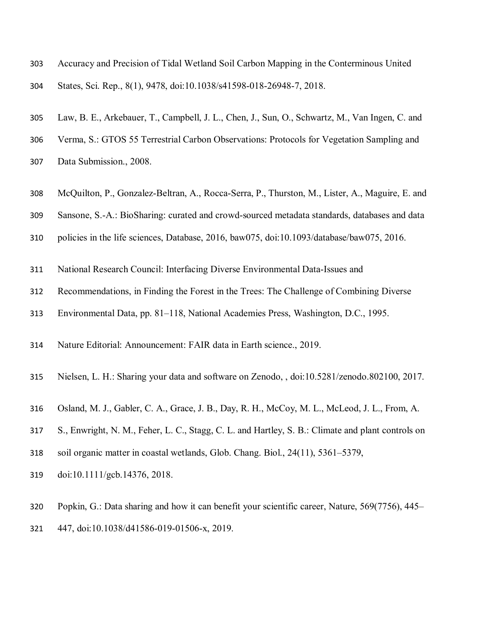Accuracy and Precision of Tidal Wetland Soil Carbon Mapping in the Conterminous United

States, Sci. Rep., 8(1), 9478, doi:10.1038/s41598-018-26948-7, 2018.

- Law, B. E., Arkebauer, T., Campbell, J. L., Chen, J., Sun, O., Schwartz, M., Van Ingen, C. and
- Verma, S.: GTOS 55 Terrestrial Carbon Observations: Protocols for Vegetation Sampling and
- Data Submission., 2008.
- McQuilton, P., Gonzalez-Beltran, A., Rocca-Serra, P., Thurston, M., Lister, A., Maguire, E. and
- Sansone, S.-A.: BioSharing: curated and crowd-sourced metadata standards, databases and data
- policies in the life sciences, Database, 2016, baw075, doi:10.1093/database/baw075, 2016.
- National Research Council: Interfacing Diverse Environmental Data-Issues and
- Recommendations, in Finding the Forest in the Trees: The Challenge of Combining Diverse
- Environmental Data, pp. 81–118, National Academies Press, Washington, D.C., 1995.
- Nature Editorial: Announcement: FAIR data in Earth science., 2019.
- Nielsen, L. H.: Sharing your data and software on Zenodo, , doi:10.5281/zenodo.802100, 2017.
- Osland, M. J., Gabler, C. A., Grace, J. B., Day, R. H., McCoy, M. L., McLeod, J. L., From, A.
- S., Enwright, N. M., Feher, L. C., Stagg, C. L. and Hartley, S. B.: Climate and plant controls on
- soil organic matter in coastal wetlands, Glob. Chang. Biol., 24(11), 5361–5379,
- doi:10.1111/gcb.14376, 2018.
- Popkin, G.: Data sharing and how it can benefit your scientific career, Nature, 569(7756), 445– 447, doi:10.1038/d41586-019-01506-x, 2019.